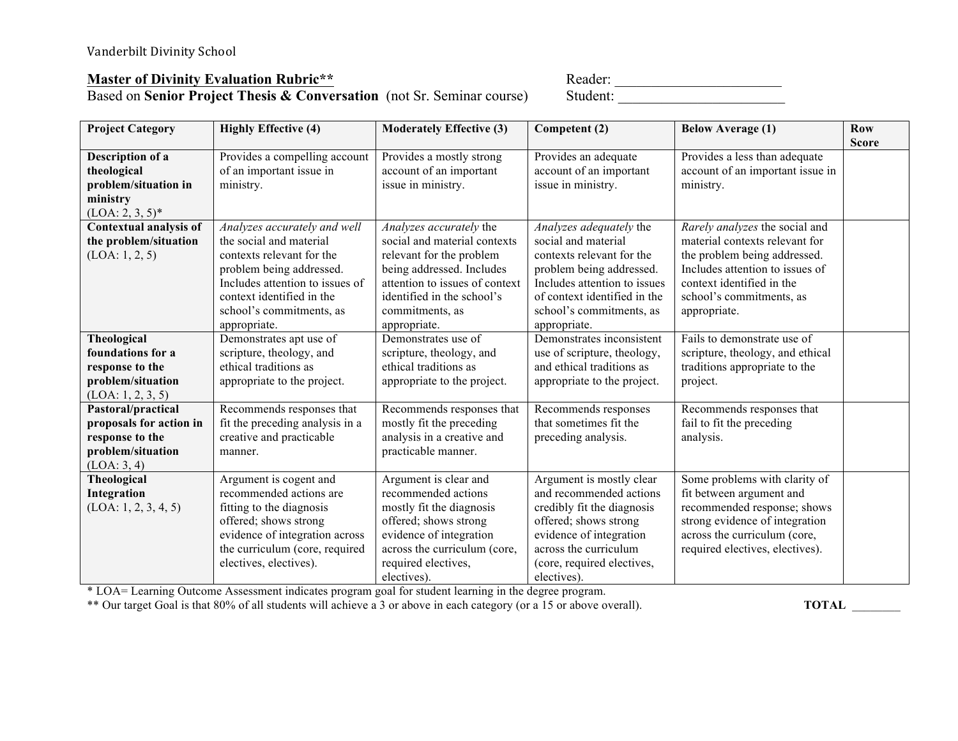## **Master of Divinity Evaluation Rubric\*\***

Based on **Senior Project Thesis & Conversation** (not Sr. Seminar course) Student:

| Reader:  |  |
|----------|--|
| Student: |  |

| <b>Project Category</b>                    | <b>Highly Effective (4)</b>                                 | <b>Moderately Effective (3)</b>                        | Competent (2)                                   | <b>Below Average (1)</b>                                          | <b>Row</b>   |
|--------------------------------------------|-------------------------------------------------------------|--------------------------------------------------------|-------------------------------------------------|-------------------------------------------------------------------|--------------|
|                                            |                                                             |                                                        |                                                 |                                                                   | <b>Score</b> |
| Description of a<br>theological            | Provides a compelling account<br>of an important issue in   | Provides a mostly strong<br>account of an important    | Provides an adequate<br>account of an important | Provides a less than adequate<br>account of an important issue in |              |
| problem/situation in                       | ministry.                                                   | issue in ministry.                                     | issue in ministry.                              | ministry.                                                         |              |
| ministry                                   |                                                             |                                                        |                                                 |                                                                   |              |
| $(LOA: 2, 3, 5)^*$                         |                                                             |                                                        |                                                 |                                                                   |              |
| Contextual analysis of                     | Analyzes accurately and well                                | Analyzes accurately the                                | Analyzes adequately the                         | Rarely analyzes the social and                                    |              |
| the problem/situation                      | the social and material                                     | social and material contexts                           | social and material                             | material contexts relevant for                                    |              |
| (LOA: 1, 2, 5)                             | contexts relevant for the                                   | relevant for the problem                               | contexts relevant for the                       | the problem being addressed.                                      |              |
|                                            | problem being addressed.                                    | being addressed. Includes                              | problem being addressed.                        | Includes attention to issues of                                   |              |
|                                            | Includes attention to issues of                             | attention to issues of context                         | Includes attention to issues                    | context identified in the                                         |              |
|                                            | context identified in the                                   | identified in the school's                             | of context identified in the                    | school's commitments, as                                          |              |
|                                            | school's commitments, as                                    | commitments, as                                        | school's commitments, as                        | appropriate.                                                      |              |
|                                            | appropriate.                                                | appropriate.                                           | appropriate.                                    |                                                                   |              |
| Theological                                | Demonstrates apt use of                                     | Demonstrates use of                                    | Demonstrates inconsistent                       | Fails to demonstrate use of                                       |              |
| foundations for a                          | scripture, theology, and                                    | scripture, theology, and                               | use of scripture, theology,                     | scripture, theology, and ethical                                  |              |
| response to the                            | ethical traditions as                                       | ethical traditions as                                  | and ethical traditions as                       | traditions appropriate to the                                     |              |
| problem/situation                          | appropriate to the project.                                 | appropriate to the project.                            | appropriate to the project.                     | project.                                                          |              |
| (LOA: 1, 2, 3, 5)                          |                                                             |                                                        |                                                 |                                                                   |              |
| Pastoral/practical                         | Recommends responses that                                   | Recommends responses that                              | Recommends responses<br>that sometimes fit the  | Recommends responses that                                         |              |
| proposals for action in<br>response to the | fit the preceding analysis in a<br>creative and practicable | mostly fit the preceding<br>analysis in a creative and | preceding analysis.                             | fail to fit the preceding<br>analysis.                            |              |
| problem/situation                          | manner.                                                     | practicable manner.                                    |                                                 |                                                                   |              |
| (LOA: 3, 4)                                |                                                             |                                                        |                                                 |                                                                   |              |
| <b>Theological</b>                         | Argument is cogent and                                      | Argument is clear and                                  | Argument is mostly clear                        | Some problems with clarity of                                     |              |
| Integration                                | recommended actions are                                     | recommended actions                                    | and recommended actions                         | fit between argument and                                          |              |
| (LOA: 1, 2, 3, 4, 5)                       | fitting to the diagnosis                                    | mostly fit the diagnosis                               | credibly fit the diagnosis                      | recommended response; shows                                       |              |
|                                            | offered; shows strong                                       | offered; shows strong                                  | offered; shows strong                           | strong evidence of integration                                    |              |
|                                            | evidence of integration across                              | evidence of integration                                | evidence of integration                         | across the curriculum (core,                                      |              |
|                                            | the curriculum (core, required                              | across the curriculum (core,                           | across the curriculum                           | required electives, electives).                                   |              |
|                                            | electives, electives).                                      | required electives,                                    | (core, required electives,                      |                                                                   |              |
|                                            |                                                             | electives).                                            | electives).                                     |                                                                   |              |

\* LOA= Learning Outcome Assessment indicates program goal for student learning in the degree program.

\*\* Our target Goal is that 80% of all students will achieve a 3 or above in each category (or a 15 or above overall). **TOTAL** \_\_\_\_\_\_\_\_